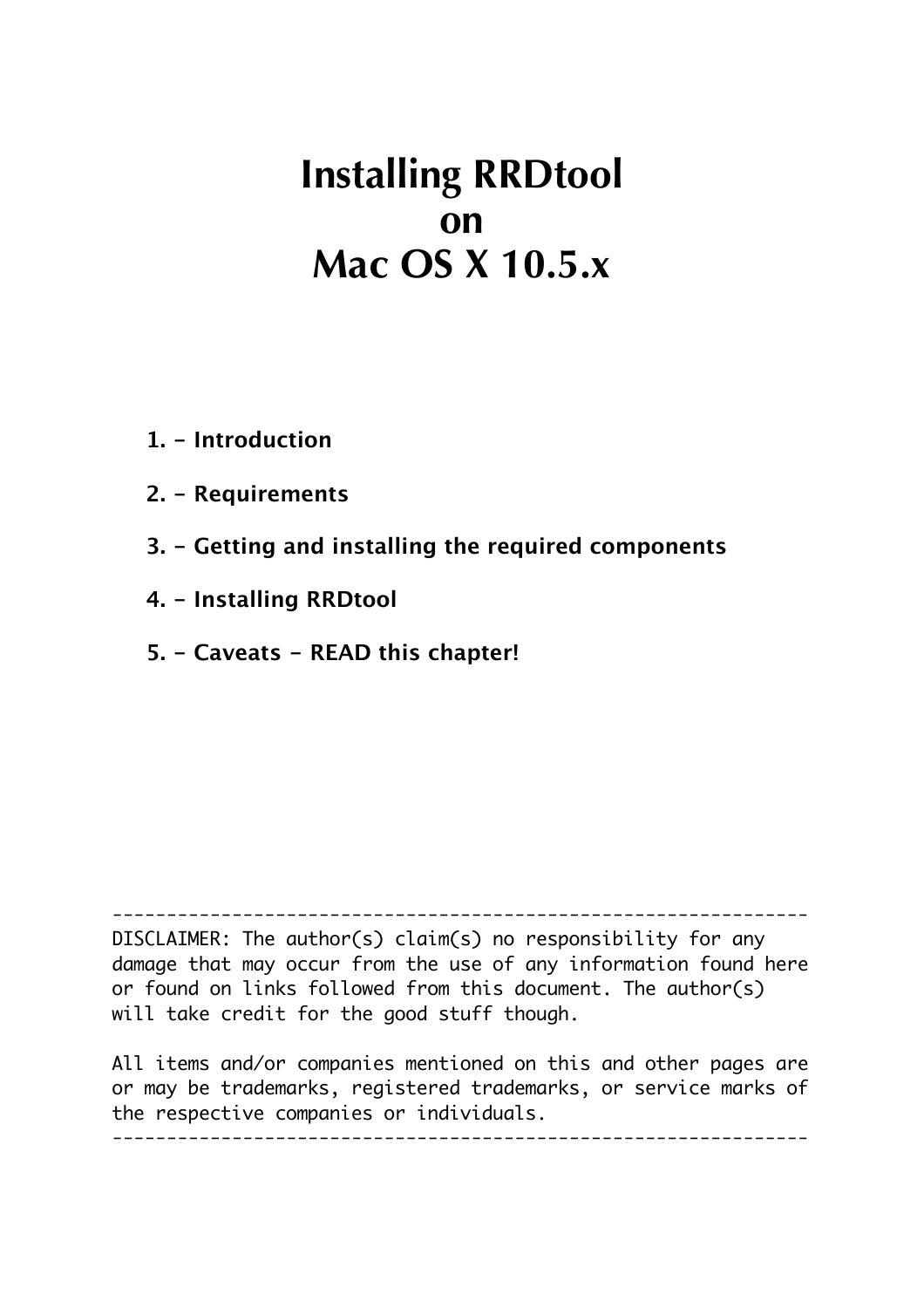# **Installing RRDtool on Mac OS X 10.5.x**

- **1. Introduction**
- **2. Requirements**
- **3. Getting and installing the required components**
- **4. Installing RRDtool**
- **5. Caveats READ this chapter!**

 $-$ 

DISCLAIMER: The author(s) claim(s) no responsibility for any damage that may occur from the use of any information found here or found on links followed from this document. The author(s) will take credit for the good stuff though.

All items and/or companies mentioned on this and other pages are or may be trademarks, registered trademarks, or service marks of the respective companies or individuals.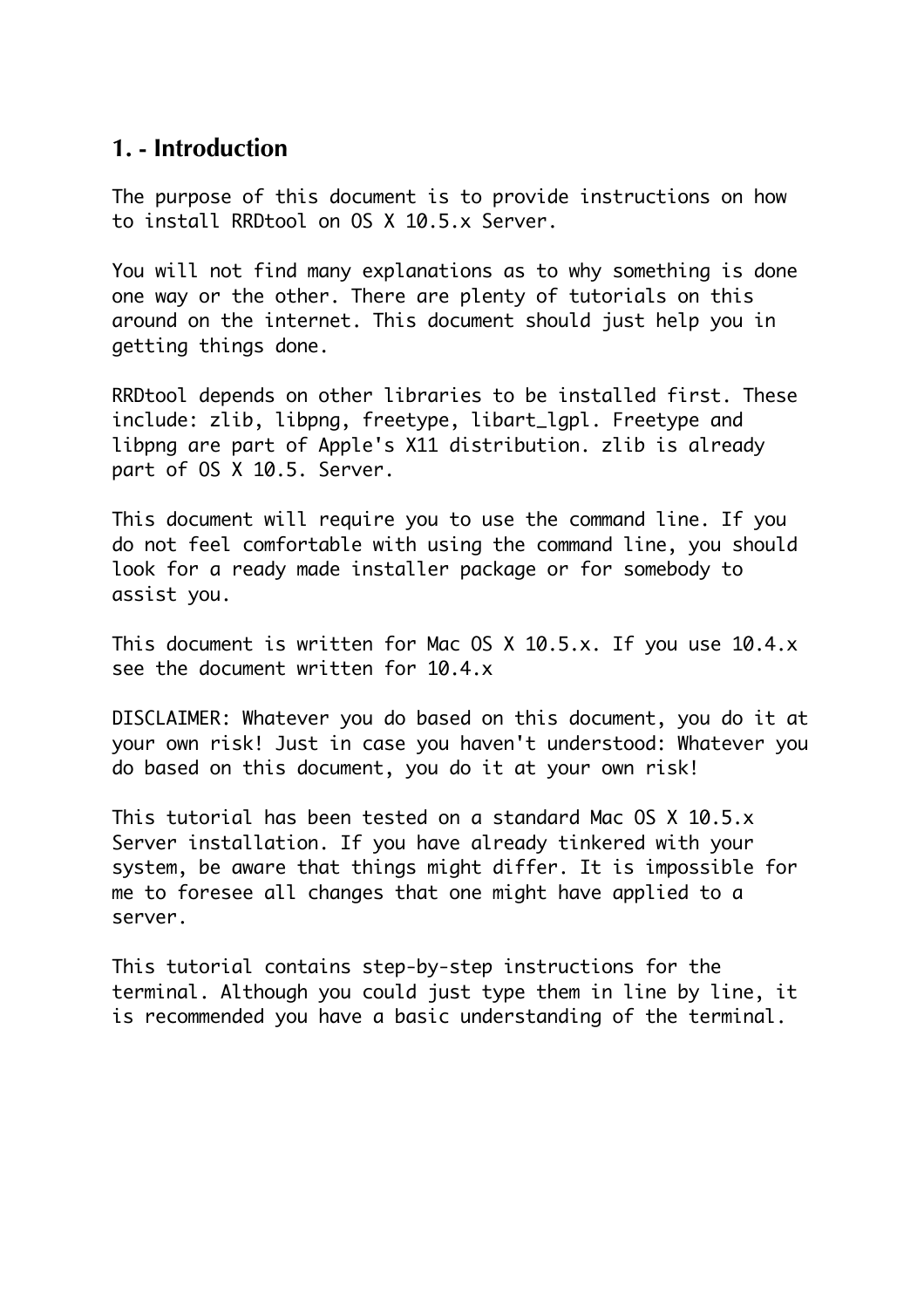### **1. - Introduction**

The purpose of this document is to provide instructions on how to install RRDtool on OS X 10.5.x Server.

You will not find many explanations as to why something is done one way or the other. There are plenty of tutorials on this around on the internet. This document should just help you in getting things done.

RRDtool depends on other libraries to be installed first. These include: zlib, libpng, freetype, libart\_lgpl. Freetype and libpng are part of Apple's X11 distribution. zlib is already part of OS X 10.5. Server.

This document will require you to use the command line. If you do not feel comfortable with using the command line, you should look for a ready made installer package or for somebody to assist you.

This document is written for Mac OS X 10.5.x. If you use 10.4.x see the document written for 10.4.x

DISCLAIMER: Whatever you do based on this document, you do it at your own risk! Just in case you haven't understood: Whatever you do based on this document, you do it at your own risk!

This tutorial has been tested on a standard Mac OS X 10.5.x Server installation. If you have already tinkered with your system, be aware that things might differ. It is impossible for me to foresee all changes that one might have applied to a server.

This tutorial contains step-by-step instructions for the terminal. Although you could just type them in line by line, it is recommended you have a basic understanding of the terminal.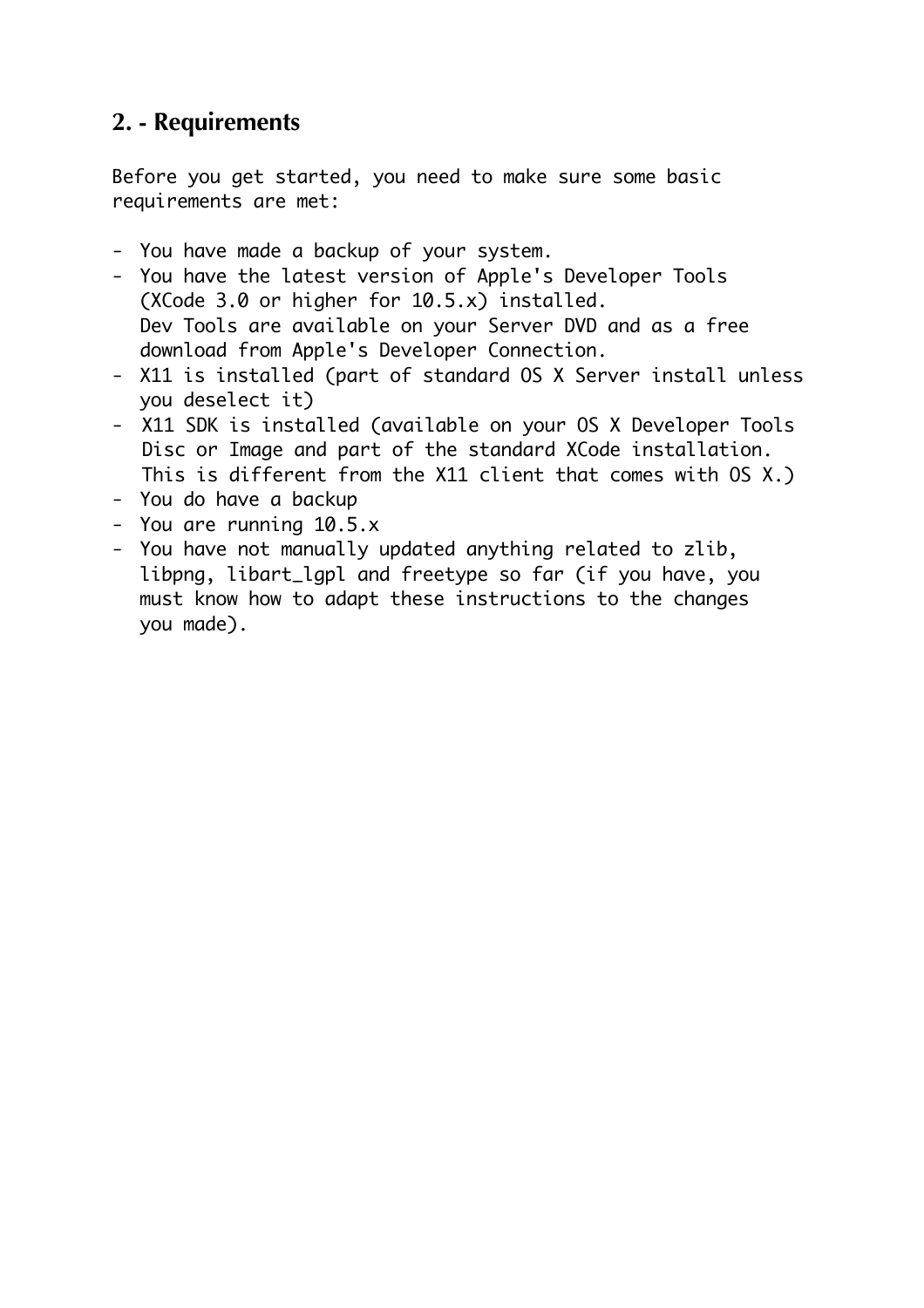# **2. - Requirements**

Before you get started, you need to make sure some basic requirements are met:

- You have made a backup of your system.
- You have the latest version of Apple's Developer Tools (XCode 3.0 or higher for 10.5.x) installed. Dev Tools are available on your Server DVD and as a free download from Apple's Developer Connection.
- X11 is installed (part of standard OS X Server install unless you deselect it)
- X11 SDK is installed (available on your OS X Developer Tools Disc or Image and part of the standard XCode installation. This is different from the X11 client that comes with OS X.)
- You do have a backup
- You are running 10.5.x
- You have not manually updated anything related to zlib, libpng, libart\_lgpl and freetype so far (if you have, you must know how to adapt these instructions to the changes you made).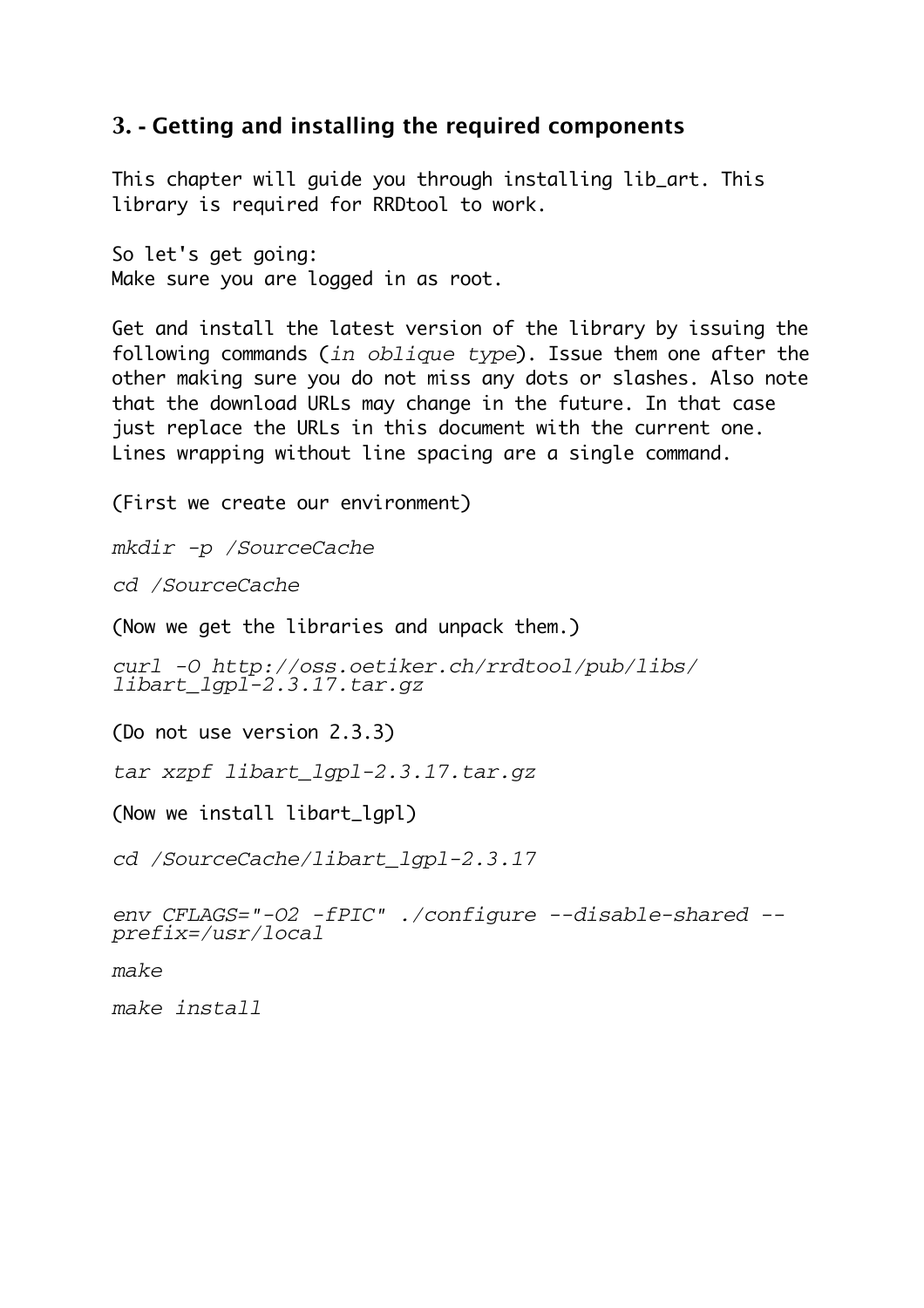#### **3. - Getting and installing the required components**

This chapter will guide you through installing lib\_art. This library is required for RRDtool to work.

So let's get going: Make sure you are logged in as root.

Get and install the latest version of the library by issuing the following commands (*in oblique type*). Issue them one after the other making sure you do not miss any dots or slashes. Also note that the download URLs may change in the future. In that case just replace the URLs in this document with the current one. Lines wrapping without line spacing are a single command.

(First we create our environment)

*mkdir -p /SourceCache*

*cd /SourceCache*

(Now we get the libraries and unpack them.)

*curl -O http://oss.oetiker.ch/rrdtool/pub/libs/ libart\_lgpl-2.3.17.tar.gz*

(Do not use version 2.3.3)

*tar xzpf libart\_lgpl-2.3.17.tar.gz*

(Now we install libart\_lgpl)

*cd /SourceCache/libart\_lgpl-2.3.17*

*env CFLAGS="-O2 -fPIC" ./configure --disable-shared - prefix=/usr/local*

*make*

*make install*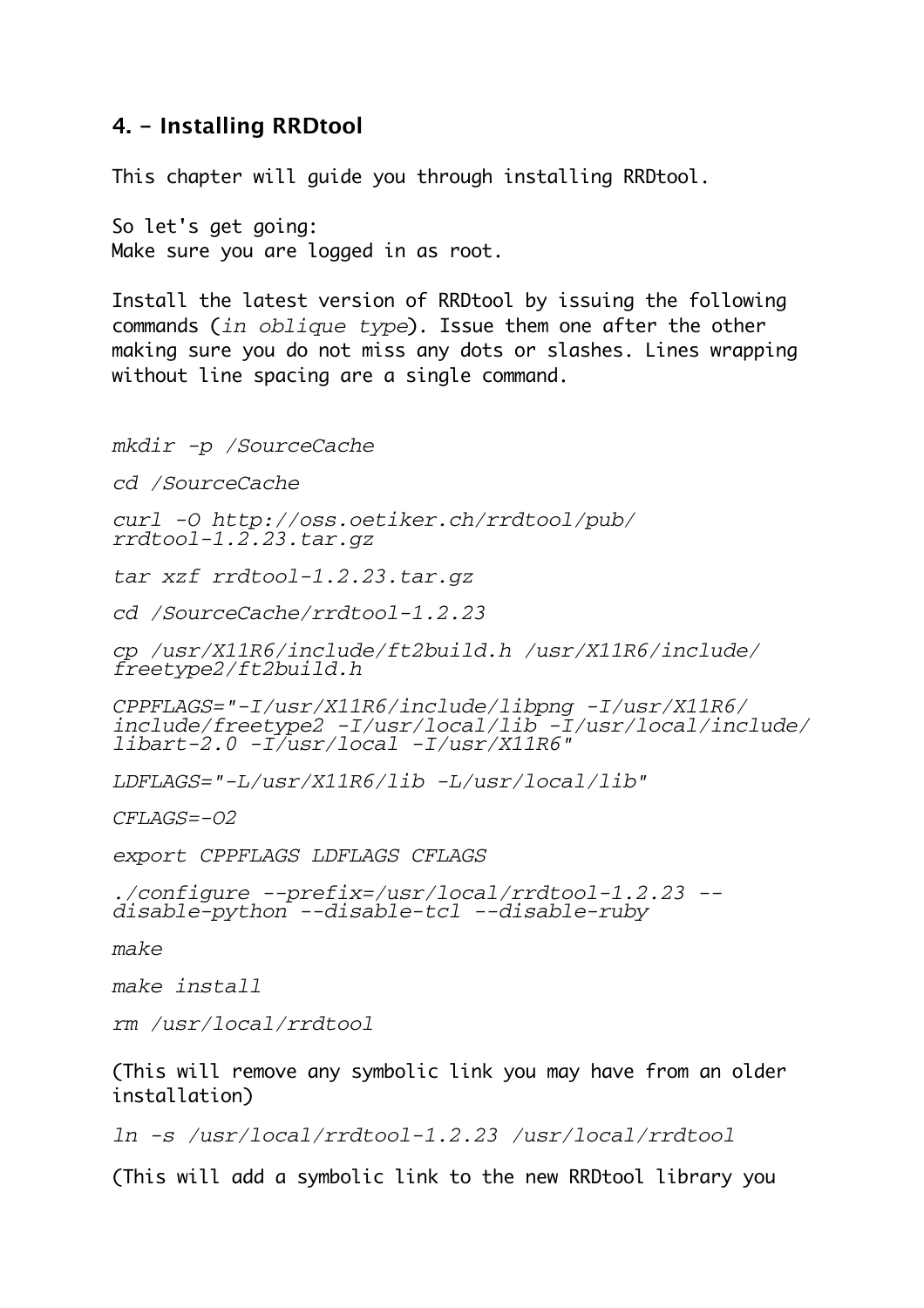#### **4. - Installing RRDtool**

This chapter will guide you through installing RRDtool.

So let's get going: Make sure you are logged in as root.

Install the latest version of RRDtool by issuing the following commands (*in oblique type*). Issue them one after the other making sure you do not miss any dots or slashes. Lines wrapping without line spacing are a single command.

*mkdir -p /SourceCache*

*cd /SourceCache*

*curl -O http://oss.oetiker.ch/rrdtool/pub/ rrdtool-1.2.23.tar.gz*

*tar xzf rrdtool-1.2.23.tar.gz*

*cd /SourceCache/rrdtool-1.2.23*

*cp /usr/X11R6/include/ft2build.h /usr/X11R6/include/ freetype2/ft2build.h*

*CPPFLAGS="-I/usr/X11R6/include/libpng -I/usr/X11R6/ include/freetype2 -I/usr/local/lib -I/usr/local/include/ libart-2.0 -I/usr/local -I/usr/X11R6"*

*LDFLAGS="-L/usr/X11R6/lib -L/usr/local/lib"*

*CFLAGS=-O2*

*export CPPFLAGS LDFLAGS CFLAGS*

*./configure --prefix=/usr/local/rrdtool-1.2.23 - disable-python --disable-tcl --disable-ruby*

*make*

*make install*

*rm /usr/local/rrdtool*

(This will remove any symbolic link you may have from an older installation)

*ln -s /usr/local/rrdtool-1.2.23 /usr/local/rrdtool*

(This will add a symbolic link to the new RRDtool library you